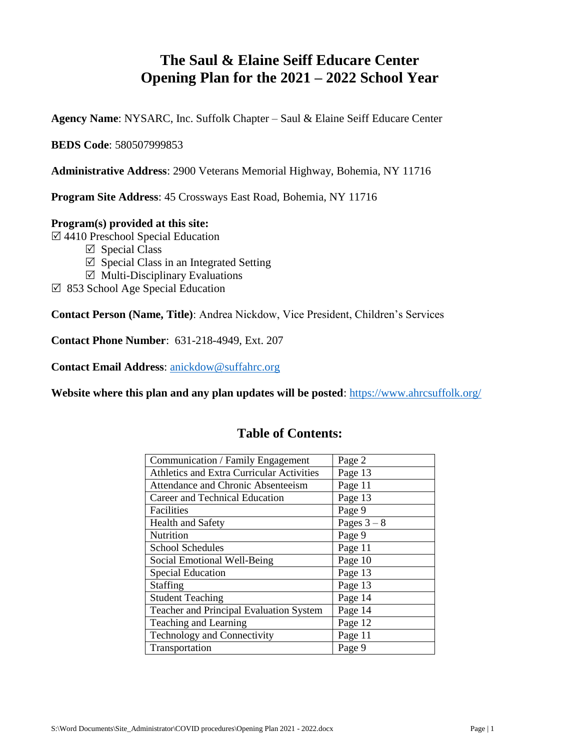# **The Saul & Elaine Seiff Educare Center Opening Plan for the 2021 – 2022 School Year**

**Agency Name**: NYSARC, Inc. Suffolk Chapter – Saul & Elaine Seiff Educare Center

**BEDS Code**: 580507999853

**Administrative Address**: 2900 Veterans Memorial Highway, Bohemia, NY 11716

**Program Site Address**: 45 Crossways East Road, Bohemia, NY 11716

#### **Program(s) provided at this site:**

4410 Preschool Special Education

- $\boxtimes$  Special Class
- $\triangledown$  Special Class in an Integrated Setting
- $\boxtimes$  Multi-Disciplinary Evaluations
- $\boxtimes$  853 School Age Special Education

**Contact Person (Name, Title)**: Andrea Nickdow, Vice President, Children's Services

**Contact Phone Number**: 631-218-4949, Ext. 207

**Contact Email Address**: [anickdow@suffahrc.org](mailto:anickdow@suffahrc.org) 

**Website where this plan and any plan updates will be posted**:<https://www.ahrcsuffolk.org/>

| Communication / Family Engagement                | Page 2      |
|--------------------------------------------------|-------------|
| <b>Athletics and Extra Curricular Activities</b> | Page 13     |
| Attendance and Chronic Absenteeism               | Page 11     |
| Career and Technical Education                   | Page 13     |
| Facilities                                       | Page 9      |
| <b>Health and Safety</b>                         | Pages $3-8$ |
| Nutrition                                        | Page 9      |
| <b>School Schedules</b>                          | Page 11     |
| Social Emotional Well-Being                      | Page 10     |
| <b>Special Education</b>                         | Page 13     |
| Staffing                                         | Page 13     |
| <b>Student Teaching</b>                          | Page 14     |
| Teacher and Principal Evaluation System          | Page 14     |
| Teaching and Learning                            | Page 12     |
| Technology and Connectivity                      | Page 11     |
| Transportation                                   | Page 9      |

## **Table of Contents:**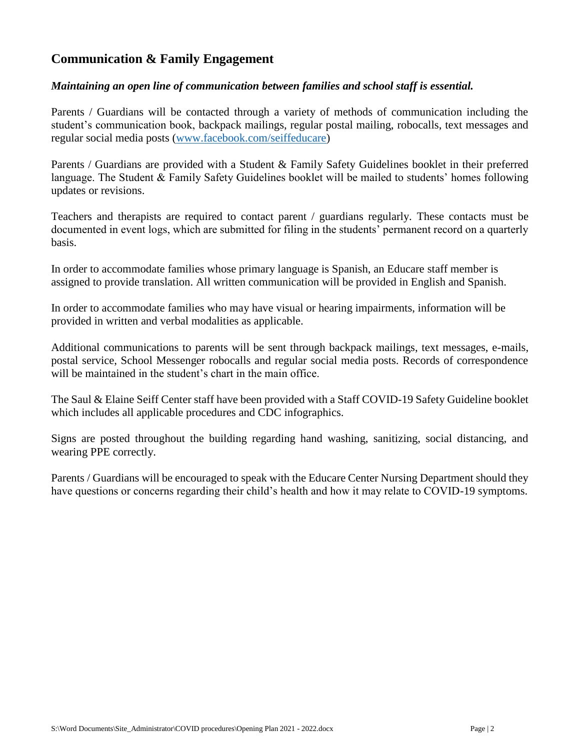## **Communication & Family Engagement**

#### *Maintaining an open line of communication between families and school staff is essential.*

Parents / Guardians will be contacted through a variety of methods of communication including the student's communication book, backpack mailings, regular postal mailing, robocalls, text messages and regular social media posts [\(www.facebook.com/seiffeducare\)](http://www.facebook.com/seiffeducare)

Parents / Guardians are provided with a Student & Family Safety Guidelines booklet in their preferred language. The Student & Family Safety Guidelines booklet will be mailed to students' homes following updates or revisions.

Teachers and therapists are required to contact parent / guardians regularly. These contacts must be documented in event logs, which are submitted for filing in the students' permanent record on a quarterly basis.

In order to accommodate families whose primary language is Spanish, an Educare staff member is assigned to provide translation. All written communication will be provided in English and Spanish.

In order to accommodate families who may have visual or hearing impairments, information will be provided in written and verbal modalities as applicable.

Additional communications to parents will be sent through backpack mailings, text messages, e-mails, postal service, School Messenger robocalls and regular social media posts. Records of correspondence will be maintained in the student's chart in the main office.

The Saul & Elaine Seiff Center staff have been provided with a Staff COVID-19 Safety Guideline booklet which includes all applicable procedures and CDC infographics.

Signs are posted throughout the building regarding hand washing, sanitizing, social distancing, and wearing PPE correctly.

Parents / Guardians will be encouraged to speak with the Educare Center Nursing Department should they have questions or concerns regarding their child's health and how it may relate to COVID-19 symptoms.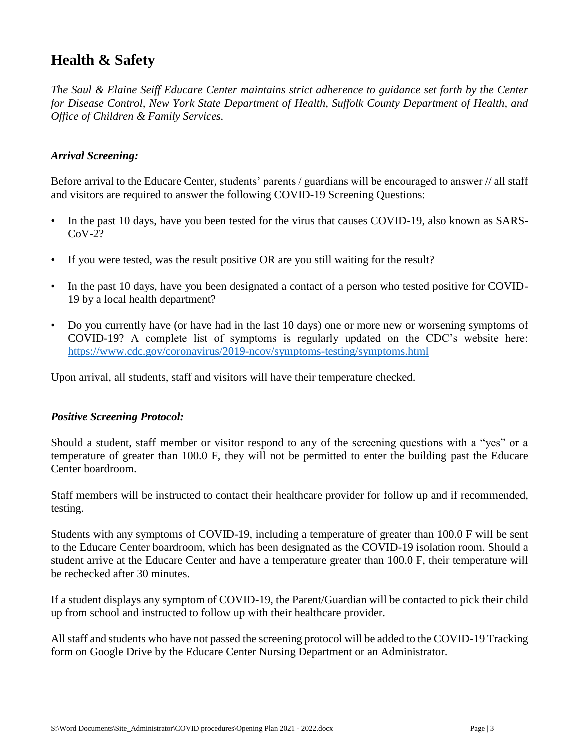# **Health & Safety**

*The Saul & Elaine Seiff Educare Center maintains strict adherence to guidance set forth by the Center for Disease Control, New York State Department of Health, Suffolk County Department of Health, and Office of Children & Family Services.*

### *Arrival Screening:*

Before arrival to the Educare Center, students' parents / guardians will be encouraged to answer // all staff and visitors are required to answer the following COVID-19 Screening Questions:

- In the past 10 days, have you been tested for the virus that causes COVID-19, also known as SARS- $C_0V-2?$
- If you were tested, was the result positive OR are you still waiting for the result?
- In the past 10 days, have you been designated a contact of a person who tested positive for COVID-19 by a local health department?
- Do you currently have (or have had in the last 10 days) one or more new or worsening symptoms of COVID-19? A complete list of symptoms is regularly updated on the CDC's website here: <https://www.cdc.gov/coronavirus/2019-ncov/symptoms-testing/symptoms.html>

Upon arrival, all students, staff and visitors will have their temperature checked.

#### *Positive Screening Protocol:*

Should a student, staff member or visitor respond to any of the screening questions with a "yes" or a temperature of greater than 100.0 F, they will not be permitted to enter the building past the Educare Center boardroom.

Staff members will be instructed to contact their healthcare provider for follow up and if recommended, testing.

Students with any symptoms of COVID-19, including a temperature of greater than 100.0 F will be sent to the Educare Center boardroom, which has been designated as the COVID-19 isolation room. Should a student arrive at the Educare Center and have a temperature greater than 100.0 F, their temperature will be rechecked after 30 minutes.

If a student displays any symptom of COVID-19, the Parent/Guardian will be contacted to pick their child up from school and instructed to follow up with their healthcare provider.

All staff and students who have not passed the screening protocol will be added to the COVID-19 Tracking form on Google Drive by the Educare Center Nursing Department or an Administrator.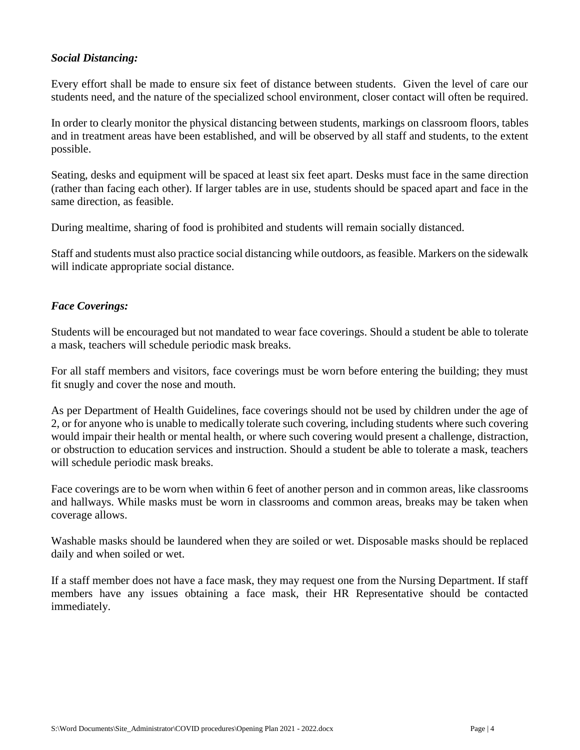### *Social Distancing:*

Every effort shall be made to ensure six feet of distance between students. Given the level of care our students need, and the nature of the specialized school environment, closer contact will often be required.

In order to clearly monitor the physical distancing between students, markings on classroom floors, tables and in treatment areas have been established, and will be observed by all staff and students, to the extent possible.

Seating, desks and equipment will be spaced at least six feet apart. Desks must face in the same direction (rather than facing each other). If larger tables are in use, students should be spaced apart and face in the same direction, as feasible.

During mealtime, sharing of food is prohibited and students will remain socially distanced.

Staff and students must also practice social distancing while outdoors, as feasible. Markers on the sidewalk will indicate appropriate social distance.

### *Face Coverings:*

Students will be encouraged but not mandated to wear face coverings. Should a student be able to tolerate a mask, teachers will schedule periodic mask breaks.

For all staff members and visitors, face coverings must be worn before entering the building; they must fit snugly and cover the nose and mouth.

As per Department of Health Guidelines, face coverings should not be used by children under the age of 2, or for anyone who is unable to medically tolerate such covering, including students where such covering would impair their health or mental health, or where such covering would present a challenge, distraction, or obstruction to education services and instruction. Should a student be able to tolerate a mask, teachers will schedule periodic mask breaks.

Face coverings are to be worn when within 6 feet of another person and in common areas, like classrooms and hallways. While masks must be worn in classrooms and common areas, breaks may be taken when coverage allows.

Washable masks should be laundered when they are soiled or wet. Disposable masks should be replaced daily and when soiled or wet.

If a staff member does not have a face mask, they may request one from the Nursing Department. If staff members have any issues obtaining a face mask, their HR Representative should be contacted immediately.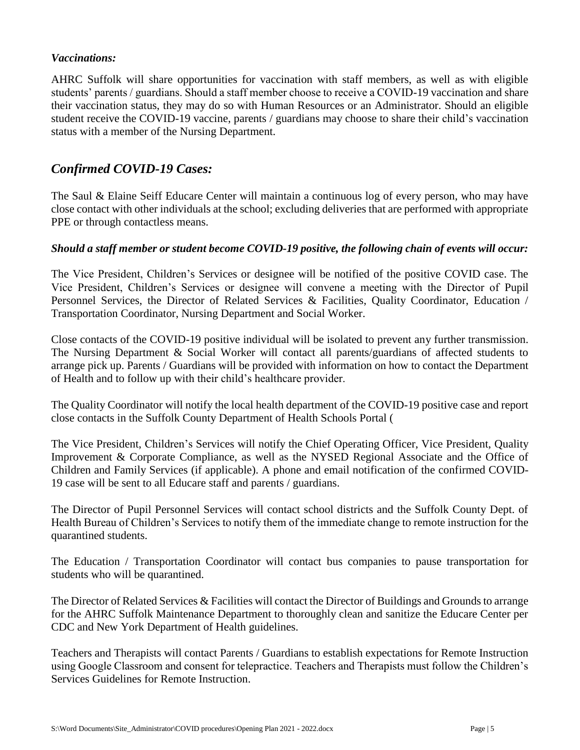### *Vaccinations:*

AHRC Suffolk will share opportunities for vaccination with staff members, as well as with eligible students' parents / guardians. Should a staff member choose to receive a COVID-19 vaccination and share their vaccination status, they may do so with Human Resources or an Administrator. Should an eligible student receive the COVID-19 vaccine, parents / guardians may choose to share their child's vaccination status with a member of the Nursing Department.

## *Confirmed COVID-19 Cases:*

The Saul & Elaine Seiff Educare Center will maintain a continuous log of every person, who may have close contact with other individuals at the school; excluding deliveries that are performed with appropriate PPE or through contactless means.

### *Should a staff member or student become COVID-19 positive, the following chain of events will occur:*

The Vice President, Children's Services or designee will be notified of the positive COVID case. The Vice President, Children's Services or designee will convene a meeting with the Director of Pupil Personnel Services, the Director of Related Services & Facilities, Quality Coordinator, Education / Transportation Coordinator, Nursing Department and Social Worker.

Close contacts of the COVID-19 positive individual will be isolated to prevent any further transmission. The Nursing Department & Social Worker will contact all parents/guardians of affected students to arrange pick up. Parents / Guardians will be provided with information on how to contact the Department of Health and to follow up with their child's healthcare provider.

The Quality Coordinator will notify the local health department of the COVID-19 positive case and report close contacts in the Suffolk County Department of Health Schools Portal (

The Vice President, Children's Services will notify the Chief Operating Officer, Vice President, Quality Improvement & Corporate Compliance, as well as the NYSED Regional Associate and the Office of Children and Family Services (if applicable). A phone and email notification of the confirmed COVID-19 case will be sent to all Educare staff and parents / guardians.

The Director of Pupil Personnel Services will contact school districts and the Suffolk County Dept. of Health Bureau of Children's Services to notify them of the immediate change to remote instruction for the quarantined students.

The Education / Transportation Coordinator will contact bus companies to pause transportation for students who will be quarantined.

The Director of Related Services & Facilities will contact the Director of Buildings and Grounds to arrange for the AHRC Suffolk Maintenance Department to thoroughly clean and sanitize the Educare Center per CDC and New York Department of Health guidelines.

Teachers and Therapists will contact Parents / Guardians to establish expectations for Remote Instruction using Google Classroom and consent for telepractice. Teachers and Therapists must follow the Children's Services Guidelines for Remote Instruction.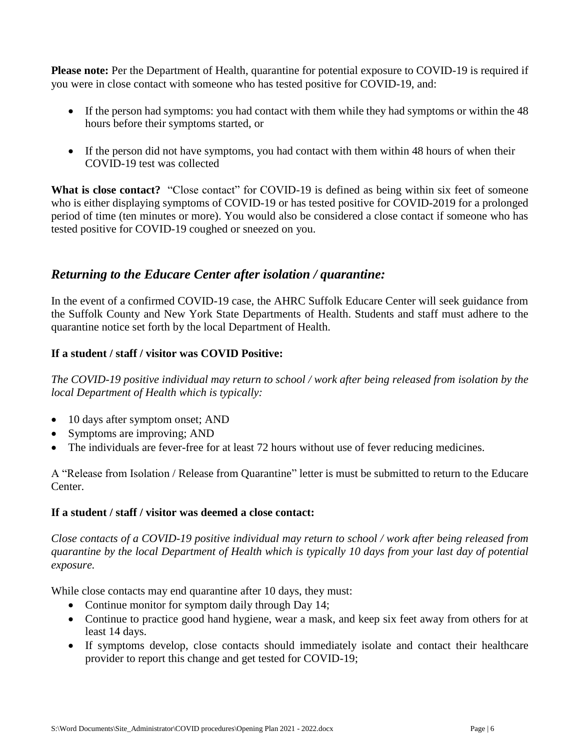**Please note:** Per the Department of Health, quarantine for potential exposure to COVID-19 is required if you were in close contact with someone who has tested positive for COVID-19, and:

- If the person had symptoms: you had contact with them while they had symptoms or within the 48 hours before their symptoms started, or
- If the person did not have symptoms, you had contact with them within 48 hours of when their COVID-19 test was collected

What is close contact? "Close contact" for COVID-19 is defined as being within six feet of someone who is either displaying symptoms of COVID-19 or has tested positive for COVID-2019 for a prolonged period of time (ten minutes or more). You would also be considered a close contact if someone who has tested positive for COVID-19 coughed or sneezed on you.

## *Returning to the Educare Center after isolation / quarantine:*

In the event of a confirmed COVID-19 case, the AHRC Suffolk Educare Center will seek guidance from the Suffolk County and New York State Departments of Health. Students and staff must adhere to the quarantine notice set forth by the local Department of Health.

### **If a student / staff / visitor was COVID Positive:**

*The COVID-19 positive individual may return to school / work after being released from isolation by the local Department of Health which is typically:*

- 10 days after symptom onset; AND
- Symptoms are improving; AND
- The individuals are fever-free for at least 72 hours without use of fever reducing medicines.

A "Release from Isolation / Release from Quarantine" letter is must be submitted to return to the Educare Center.

#### **If a student / staff / visitor was deemed a close contact:**

*Close contacts of a COVID-19 positive individual may return to school / work after being released from quarantine by the local Department of Health which is typically 10 days from your last day of potential exposure.* 

While close contacts may end quarantine after 10 days, they must:

- Continue monitor for symptom daily through Day 14;
- Continue to practice good hand hygiene, wear a mask, and keep six feet away from others for at least 14 days.
- If symptoms develop, close contacts should immediately isolate and contact their healthcare provider to report this change and get tested for COVID-19;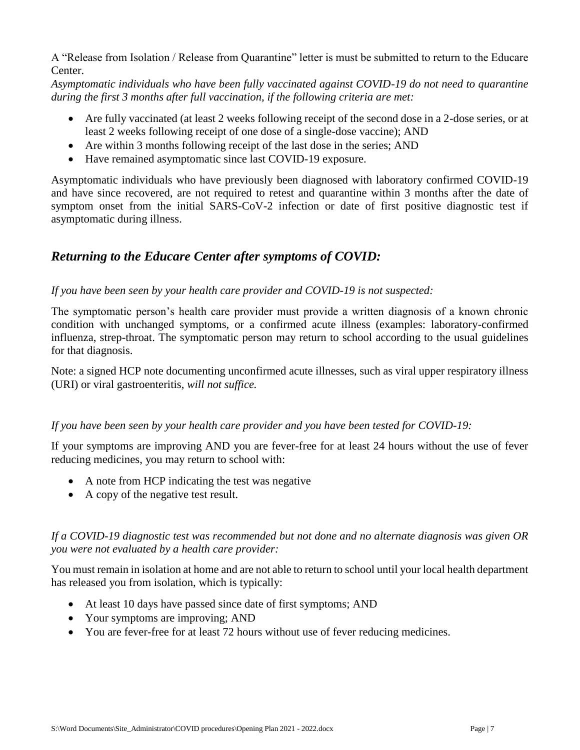A "Release from Isolation / Release from Quarantine" letter is must be submitted to return to the Educare Center.

*Asymptomatic individuals who have been fully vaccinated against COVID-19 do not need to quarantine during the first 3 months after full vaccination, if the following criteria are met:*

- Are fully vaccinated (at least 2 weeks following receipt of the second dose in a 2-dose series, or at least 2 weeks following receipt of one dose of a single-dose vaccine); AND
- Are within 3 months following receipt of the last dose in the series; AND
- Have remained asymptomatic since last COVID-19 exposure.

Asymptomatic individuals who have previously been diagnosed with laboratory confirmed COVID-19 and have since recovered, are not required to retest and quarantine within 3 months after the date of symptom onset from the initial SARS-CoV-2 infection or date of first positive diagnostic test if asymptomatic during illness.

## *Returning to the Educare Center after symptoms of COVID:*

### *If you have been seen by your health care provider and COVID-19 is not suspected:*

The symptomatic person's health care provider must provide a written diagnosis of a known chronic condition with unchanged symptoms, or a confirmed acute illness (examples: laboratory-confirmed influenza, strep-throat. The symptomatic person may return to school according to the usual guidelines for that diagnosis.

Note: a signed HCP note documenting unconfirmed acute illnesses, such as viral upper respiratory illness (URI) or viral gastroenteritis, *will not suffice.*

## *If you have been seen by your health care provider and you have been tested for COVID-19:*

If your symptoms are improving AND you are fever-free for at least 24 hours without the use of fever reducing medicines, you may return to school with:

- A note from HCP indicating the test was negative
- A copy of the negative test result.

*If a COVID-19 diagnostic test was recommended but not done and no alternate diagnosis was given OR you were not evaluated by a health care provider:*

You must remain in isolation at home and are not able to return to school until your local health department has released you from isolation, which is typically:

- At least 10 days have passed since date of first symptoms; AND
- Your symptoms are improving; AND
- You are fever-free for at least 72 hours without use of fever reducing medicines.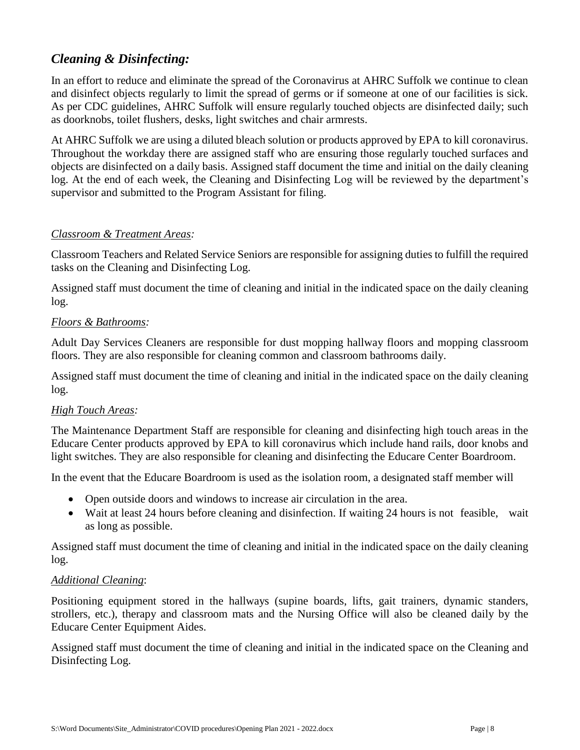## *Cleaning & Disinfecting:*

In an effort to reduce and eliminate the spread of the Coronavirus at AHRC Suffolk we continue to clean and disinfect objects regularly to limit the spread of germs or if someone at one of our facilities is sick. As per CDC guidelines, AHRC Suffolk will ensure regularly touched objects are disinfected daily; such as doorknobs, toilet flushers, desks, light switches and chair armrests.

At AHRC Suffolk we are using a diluted bleach solution or products approved by EPA to kill coronavirus. Throughout the workday there are assigned staff who are ensuring those regularly touched surfaces and objects are disinfected on a daily basis. Assigned staff document the time and initial on the daily cleaning log. At the end of each week, the Cleaning and Disinfecting Log will be reviewed by the department's supervisor and submitted to the Program Assistant for filing.

## *Classroom & Treatment Areas:*

Classroom Teachers and Related Service Seniors are responsible for assigning duties to fulfill the required tasks on the Cleaning and Disinfecting Log.

Assigned staff must document the time of cleaning and initial in the indicated space on the daily cleaning log.

### *Floors & Bathrooms:*

Adult Day Services Cleaners are responsible for dust mopping hallway floors and mopping classroom floors. They are also responsible for cleaning common and classroom bathrooms daily.

Assigned staff must document the time of cleaning and initial in the indicated space on the daily cleaning log.

## *High Touch Areas:*

The Maintenance Department Staff are responsible for cleaning and disinfecting high touch areas in the Educare Center products approved by EPA to kill coronavirus which include hand rails, door knobs and light switches. They are also responsible for cleaning and disinfecting the Educare Center Boardroom.

In the event that the Educare Boardroom is used as the isolation room, a designated staff member will

- Open outside doors and windows to increase air circulation in the area.
- Wait at least 24 hours before cleaning and disinfection. If waiting 24 hours is not feasible, wait as long as possible.

Assigned staff must document the time of cleaning and initial in the indicated space on the daily cleaning log.

#### *Additional Cleaning*:

Positioning equipment stored in the hallways (supine boards, lifts, gait trainers, dynamic standers, strollers, etc.), therapy and classroom mats and the Nursing Office will also be cleaned daily by the Educare Center Equipment Aides.

Assigned staff must document the time of cleaning and initial in the indicated space on the Cleaning and Disinfecting Log.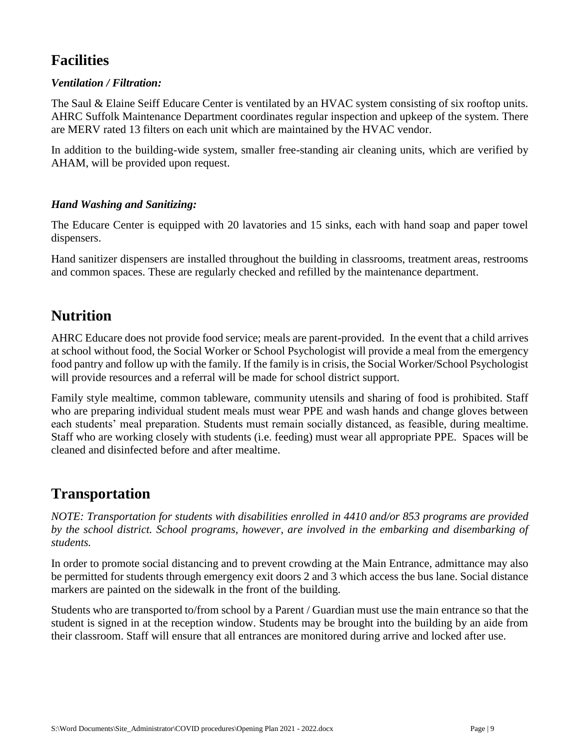# **Facilities**

## *Ventilation / Filtration:*

The Saul & Elaine Seiff Educare Center is ventilated by an HVAC system consisting of six rooftop units. AHRC Suffolk Maintenance Department coordinates regular inspection and upkeep of the system. There are MERV rated 13 filters on each unit which are maintained by the HVAC vendor.

In addition to the building-wide system, smaller free-standing air cleaning units, which are verified by AHAM, will be provided upon request.

## *Hand Washing and Sanitizing:*

The Educare Center is equipped with 20 lavatories and 15 sinks, each with hand soap and paper towel dispensers.

Hand sanitizer dispensers are installed throughout the building in classrooms, treatment areas, restrooms and common spaces. These are regularly checked and refilled by the maintenance department.

## **Nutrition**

AHRC Educare does not provide food service; meals are parent-provided. In the event that a child arrives at school without food, the Social Worker or School Psychologist will provide a meal from the emergency food pantry and follow up with the family. If the family is in crisis, the Social Worker/School Psychologist will provide resources and a referral will be made for school district support.

Family style mealtime, common tableware, community utensils and sharing of food is prohibited. Staff who are preparing individual student meals must wear PPE and wash hands and change gloves between each students' meal preparation. Students must remain socially distanced, as feasible, during mealtime. Staff who are working closely with students (i.e. feeding) must wear all appropriate PPE. Spaces will be cleaned and disinfected before and after mealtime.

## **Transportation**

*NOTE: Transportation for students with disabilities enrolled in 4410 and/or 853 programs are provided by the school district. School programs, however, are involved in the embarking and disembarking of students.*

In order to promote social distancing and to prevent crowding at the Main Entrance, admittance may also be permitted for students through emergency exit doors 2 and 3 which access the bus lane. Social distance markers are painted on the sidewalk in the front of the building.

Students who are transported to/from school by a Parent / Guardian must use the main entrance so that the student is signed in at the reception window. Students may be brought into the building by an aide from their classroom. Staff will ensure that all entrances are monitored during arrive and locked after use.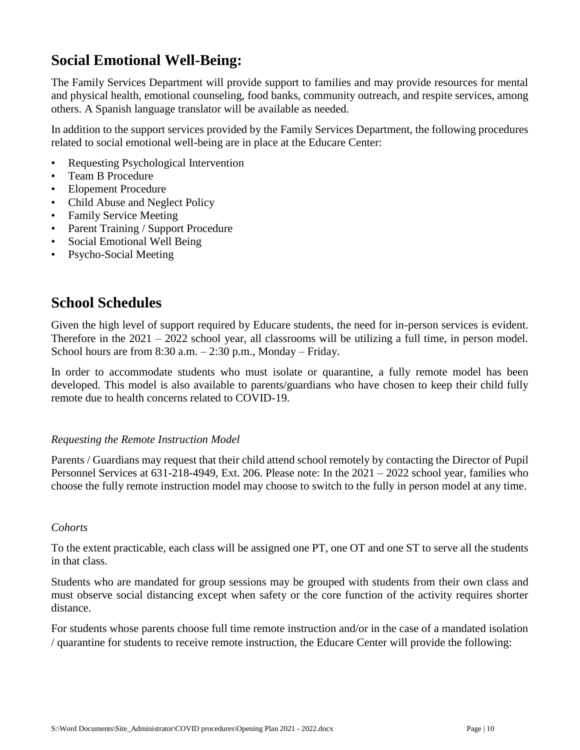# **Social Emotional Well-Being:**

The Family Services Department will provide support to families and may provide resources for mental and physical health, emotional counseling, food banks, community outreach, and respite services, among others. A Spanish language translator will be available as needed.

In addition to the support services provided by the Family Services Department, the following procedures related to social emotional well-being are in place at the Educare Center:

- Requesting Psychological Intervention
- Team B Procedure
- Elopement Procedure
- Child Abuse and Neglect Policy
- Family Service Meeting
- Parent Training / Support Procedure
- Social Emotional Well Being
- Psycho-Social Meeting

## **School Schedules**

Given the high level of support required by Educare students, the need for in-person services is evident. Therefore in the  $2021 - 2022$  school year, all classrooms will be utilizing a full time, in person model. School hours are from 8:30 a.m. – 2:30 p.m., Monday – Friday.

In order to accommodate students who must isolate or quarantine, a fully remote model has been developed. This model is also available to parents/guardians who have chosen to keep their child fully remote due to health concerns related to COVID-19.

#### *Requesting the Remote Instruction Model*

Parents / Guardians may request that their child attend school remotely by contacting the Director of Pupil Personnel Services at 631-218-4949, Ext. 206. Please note: In the 2021 – 2022 school year, families who choose the fully remote instruction model may choose to switch to the fully in person model at any time.

#### *Cohorts*

To the extent practicable, each class will be assigned one PT, one OT and one ST to serve all the students in that class.

Students who are mandated for group sessions may be grouped with students from their own class and must observe social distancing except when safety or the core function of the activity requires shorter distance.

For students whose parents choose full time remote instruction and/or in the case of a mandated isolation / quarantine for students to receive remote instruction, the Educare Center will provide the following: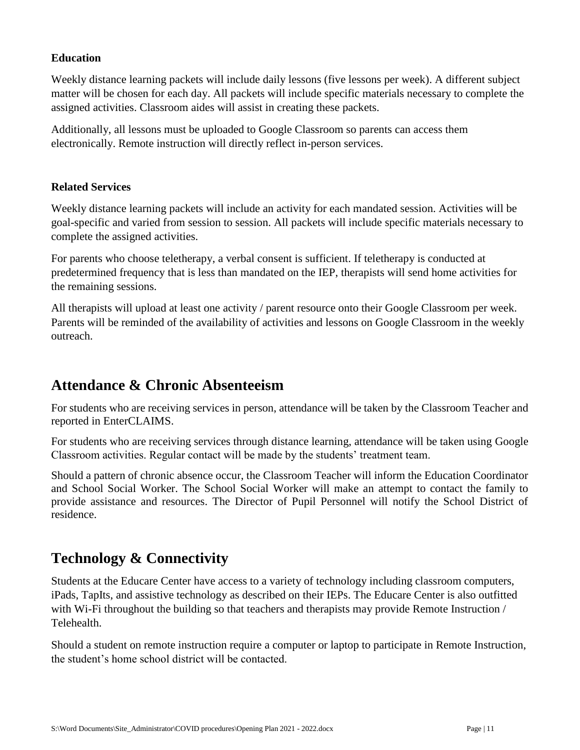## **Education**

Weekly distance learning packets will include daily lessons (five lessons per week). A different subject matter will be chosen for each day. All packets will include specific materials necessary to complete the assigned activities. Classroom aides will assist in creating these packets.

Additionally, all lessons must be uploaded to Google Classroom so parents can access them electronically. Remote instruction will directly reflect in-person services.

#### **Related Services**

Weekly distance learning packets will include an activity for each mandated session. Activities will be goal-specific and varied from session to session. All packets will include specific materials necessary to complete the assigned activities.

For parents who choose teletherapy, a verbal consent is sufficient. If teletherapy is conducted at predetermined frequency that is less than mandated on the IEP, therapists will send home activities for the remaining sessions.

All therapists will upload at least one activity / parent resource onto their Google Classroom per week. Parents will be reminded of the availability of activities and lessons on Google Classroom in the weekly outreach.

## **Attendance & Chronic Absenteeism**

For students who are receiving services in person, attendance will be taken by the Classroom Teacher and reported in EnterCLAIMS.

For students who are receiving services through distance learning, attendance will be taken using Google Classroom activities. Regular contact will be made by the students' treatment team.

Should a pattern of chronic absence occur, the Classroom Teacher will inform the Education Coordinator and School Social Worker. The School Social Worker will make an attempt to contact the family to provide assistance and resources. The Director of Pupil Personnel will notify the School District of residence.

# **Technology & Connectivity**

Students at the Educare Center have access to a variety of technology including classroom computers, iPads, TapIts, and assistive technology as described on their IEPs. The Educare Center is also outfitted with Wi-Fi throughout the building so that teachers and therapists may provide Remote Instruction / Telehealth.

Should a student on remote instruction require a computer or laptop to participate in Remote Instruction, the student's home school district will be contacted.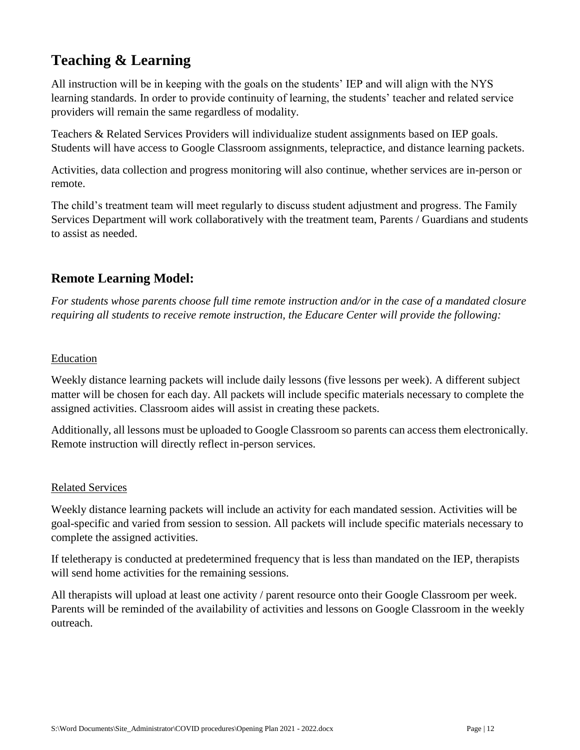# **Teaching & Learning**

All instruction will be in keeping with the goals on the students' IEP and will align with the NYS learning standards. In order to provide continuity of learning, the students' teacher and related service providers will remain the same regardless of modality.

Teachers & Related Services Providers will individualize student assignments based on IEP goals. Students will have access to Google Classroom assignments, telepractice, and distance learning packets.

Activities, data collection and progress monitoring will also continue, whether services are in-person or remote.

The child's treatment team will meet regularly to discuss student adjustment and progress. The Family Services Department will work collaboratively with the treatment team, Parents / Guardians and students to assist as needed.

## **Remote Learning Model:**

*For students whose parents choose full time remote instruction and/or in the case of a mandated closure requiring all students to receive remote instruction, the Educare Center will provide the following:*

## Education

Weekly distance learning packets will include daily lessons (five lessons per week). A different subject matter will be chosen for each day. All packets will include specific materials necessary to complete the assigned activities. Classroom aides will assist in creating these packets.

Additionally, all lessons must be uploaded to Google Classroom so parents can access them electronically. Remote instruction will directly reflect in-person services.

## Related Services

Weekly distance learning packets will include an activity for each mandated session. Activities will be goal-specific and varied from session to session. All packets will include specific materials necessary to complete the assigned activities.

If teletherapy is conducted at predetermined frequency that is less than mandated on the IEP, therapists will send home activities for the remaining sessions.

All therapists will upload at least one activity / parent resource onto their Google Classroom per week. Parents will be reminded of the availability of activities and lessons on Google Classroom in the weekly outreach.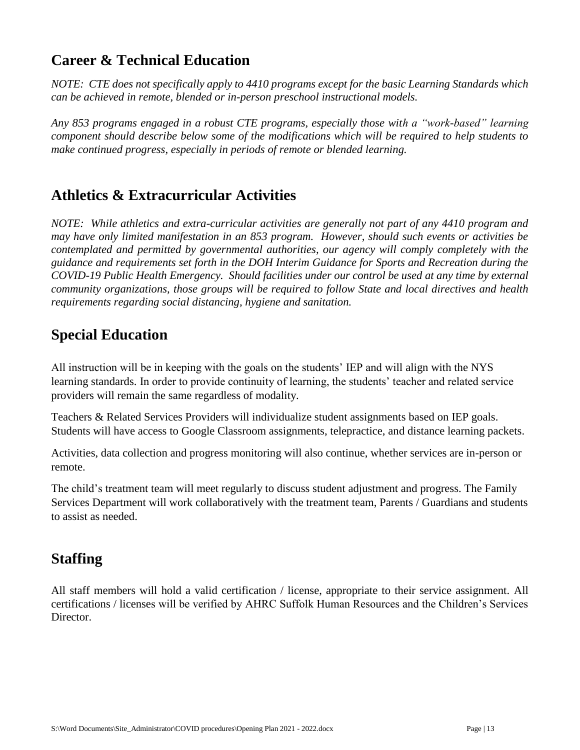# **Career & Technical Education**

*NOTE: CTE does not specifically apply to 4410 programs except for the basic Learning Standards which can be achieved in remote, blended or in-person preschool instructional models.* 

*Any 853 programs engaged in a robust CTE programs, especially those with a "work-based" learning component should describe below some of the modifications which will be required to help students to make continued progress, especially in periods of remote or blended learning.*

## **Athletics & Extracurricular Activities**

*NOTE: While athletics and extra-curricular activities are generally not part of any 4410 program and may have only limited manifestation in an 853 program. However, should such events or activities be contemplated and permitted by governmental authorities, our agency will comply completely with the guidance and requirements set forth in the DOH Interim Guidance for Sports and Recreation during the COVID-19 Public Health Emergency. Should facilities under our control be used at any time by external community organizations, those groups will be required to follow State and local directives and health requirements regarding social distancing, hygiene and sanitation.*

## **Special Education**

All instruction will be in keeping with the goals on the students' IEP and will align with the NYS learning standards. In order to provide continuity of learning, the students' teacher and related service providers will remain the same regardless of modality.

Teachers & Related Services Providers will individualize student assignments based on IEP goals. Students will have access to Google Classroom assignments, telepractice, and distance learning packets.

Activities, data collection and progress monitoring will also continue, whether services are in-person or remote.

The child's treatment team will meet regularly to discuss student adjustment and progress. The Family Services Department will work collaboratively with the treatment team, Parents / Guardians and students to assist as needed.

# **Staffing**

All staff members will hold a valid certification / license, appropriate to their service assignment. All certifications / licenses will be verified by AHRC Suffolk Human Resources and the Children's Services Director.